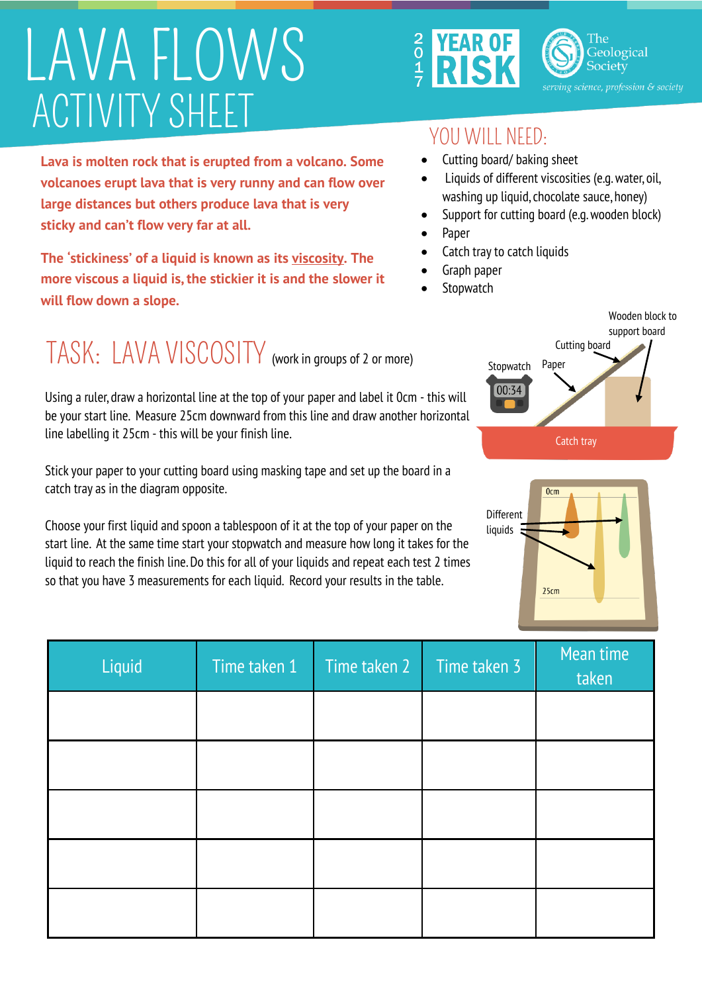## LAVA FLOWS ACTIVITY SHEET





## YOU WILL NEED:

- Cutting board/ baking sheet
- Liquids of different viscosities (e.g. water, oil, washing up liquid, chocolate sauce, honey)
- Support for cutting board (e.g. wooden block)
- Paper
- Catch tray to catch liquids
- Graph paper
- **Stopwatch**

**Lava is molten rock that is erupted from a volcano. Some volcanoes erupt lava that is very runny and can flow over large distances but others produce lava that is very sticky and can't flow very far at all.** 

**The 'stickiness' of a liquid is known as its viscosity. The more viscous a liquid is, the stickier it is and the slower it will flow down a slope.** 

## TASK: LAVA VISCOSITY (work in groups of 2 or more)

Using a ruler, draw a horizontal line at the top of your paper and label it 0cm - this will be your start line. Measure 25cm downward from this line and draw another horizontal line labelling it 25cm - this will be your finish line.

Stick your paper to your cutting board using masking tape and set up the board in a catch tray as in the diagram opposite.

Choose your first liquid and spoon a tablespoon of it at the top of your paper on the start line. At the same time start your stopwatch and measure how long it takes for the liquid to reach the finish line. Do this for all of your liquids and repeat each test 2 times so that you have 3 measurements for each liquid. Record your results in the table.

| Liquid | Time taken 1 | Time taken 2 | Time taken 3 | Mean time<br>taken |
|--------|--------------|--------------|--------------|--------------------|
|        |              |              |              |                    |
|        |              |              |              |                    |
|        |              |              |              |                    |
|        |              |              |              |                    |
|        |              |              |              |                    |